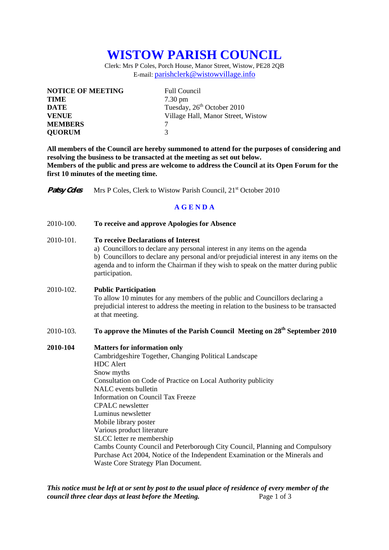# **WISTOW PARISH COUNCIL**

Clerk: Mrs P Coles, Porch House, Manor Street, Wistow, PE28 2QB E-mail: parishclerk@wistowvillage.info

| <b>NOTICE OF MEETING</b> | <b>Full Council</b>                    |
|--------------------------|----------------------------------------|
| <b>TIME</b>              | $7.30 \text{ pm}$                      |
| <b>DATE</b>              | Tuesday, 26 <sup>th</sup> October 2010 |
| <b>VENUE</b>             | Village Hall, Manor Street, Wistow     |
| <b>MEMBERS</b>           |                                        |
| <b>QUORUM</b>            | 3                                      |

**All members of the Council are hereby summoned to attend for the purposes of considering and resolving the business to be transacted at the meeting as set out below. Members of the public and press are welcome to address the Council at its Open Forum for the first 10 minutes of the meeting time.** 

**Patsy Coles** Mrs P Coles, Clerk to Wistow Parish Council, 21<sup>st</sup> October 2010

## **A G E N D A**

#### 2010-100. **To receive and approve Apologies for Absence**

#### 2010-101. **To receive Declarations of Interest**

 a) Councillors to declare any personal interest in any items on the agenda b) Councillors to declare any personal and/or prejudicial interest in any items on the agenda and to inform the Chairman if they wish to speak on the matter during public participation.

## 2010-102. **Public Participation**

To allow 10 minutes for any members of the public and Councillors declaring a prejudicial interest to address the meeting in relation to the business to be transacted at that meeting.

# 2010-103. **To approve the Minutes of the Parish Council Meeting on 28<sup>th</sup> September 2010**

#### **2010-104 Matters for information only**

 Cambridgeshire Together, Changing Political Landscape HDC Alert Snow myths Consultation on Code of Practice on Local Authority publicity NALC events bulletin Information on Council Tax Freeze CPALC newsletter Luminus newsletter Mobile library poster Various product literature SLCC letter re membership Cambs County Council and Peterborough City Council, Planning and Compulsory Purchase Act 2004, Notice of the Independent Examination or the Minerals and Waste Core Strategy Plan Document.

*This notice must be left at or sent by post to the usual place of residence of every member of the council three clear days at least before the Meeting.* Page 1 of 3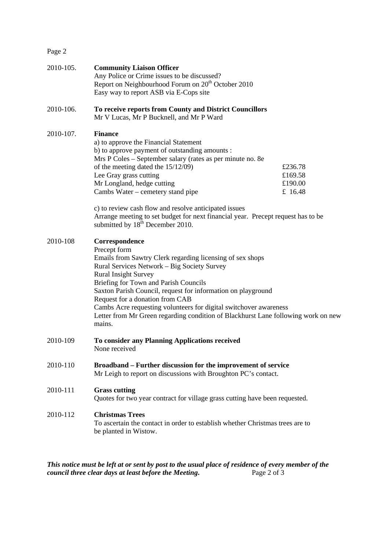Page 2

| 2010-105. | <b>Community Liaison Officer</b><br>Any Police or Crime issues to be discussed?<br>Report on Neighbourhood Forum on 20 <sup>th</sup> October 2010<br>Easy way to report ASB via E-Cops site                                                                                                                                                                                                                                                                                               |                                          |
|-----------|-------------------------------------------------------------------------------------------------------------------------------------------------------------------------------------------------------------------------------------------------------------------------------------------------------------------------------------------------------------------------------------------------------------------------------------------------------------------------------------------|------------------------------------------|
| 2010-106. | To receive reports from County and District Councillors<br>Mr V Lucas, Mr P Bucknell, and Mr P Ward                                                                                                                                                                                                                                                                                                                                                                                       |                                          |
| 2010-107. | <b>Finance</b><br>a) to approve the Financial Statement<br>b) to approve payment of outstanding amounts :<br>Mrs P Coles - September salary (rates as per minute no. 8e<br>of the meeting dated the 15/12/09)<br>Lee Gray grass cutting<br>Mr Longland, hedge cutting<br>Cambs Water – cemetery stand pipe<br>c) to review cash flow and resolve anticipated issues                                                                                                                       | £236.78<br>£169.58<br>£190.00<br>£ 16.48 |
|           | Arrange meeting to set budget for next financial year. Precept request has to be<br>submitted by 18 <sup>th</sup> December 2010.                                                                                                                                                                                                                                                                                                                                                          |                                          |
| 2010-108  | Correspondence<br>Precept form<br>Emails from Sawtry Clerk regarding licensing of sex shops<br>Rural Services Network - Big Society Survey<br><b>Rural Insight Survey</b><br>Briefing for Town and Parish Councils<br>Saxton Parish Council, request for information on playground<br>Request for a donation from CAB<br>Cambs Acre requesting volunteers for digital switchover awareness<br>Letter from Mr Green regarding condition of Blackhurst Lane following work on new<br>mains. |                                          |
| 2010-109  | To consider any Planning Applications received<br>None received                                                                                                                                                                                                                                                                                                                                                                                                                           |                                          |
| 2010-110  | Broadband – Further discussion for the improvement of service<br>Mr Leigh to report on discussions with Broughton PC's contact.                                                                                                                                                                                                                                                                                                                                                           |                                          |
| 2010-111  | <b>Grass cutting</b><br>Quotes for two year contract for village grass cutting have been requested.                                                                                                                                                                                                                                                                                                                                                                                       |                                          |
| 2010-112  | <b>Christmas Trees</b><br>To ascertain the contact in order to establish whether Christmas trees are to<br>be planted in Wistow.                                                                                                                                                                                                                                                                                                                                                          |                                          |

*This notice must be left at or sent by post to the usual place of residence of every member of the council three clear days at least before the Meeting.* Page 2 of 3